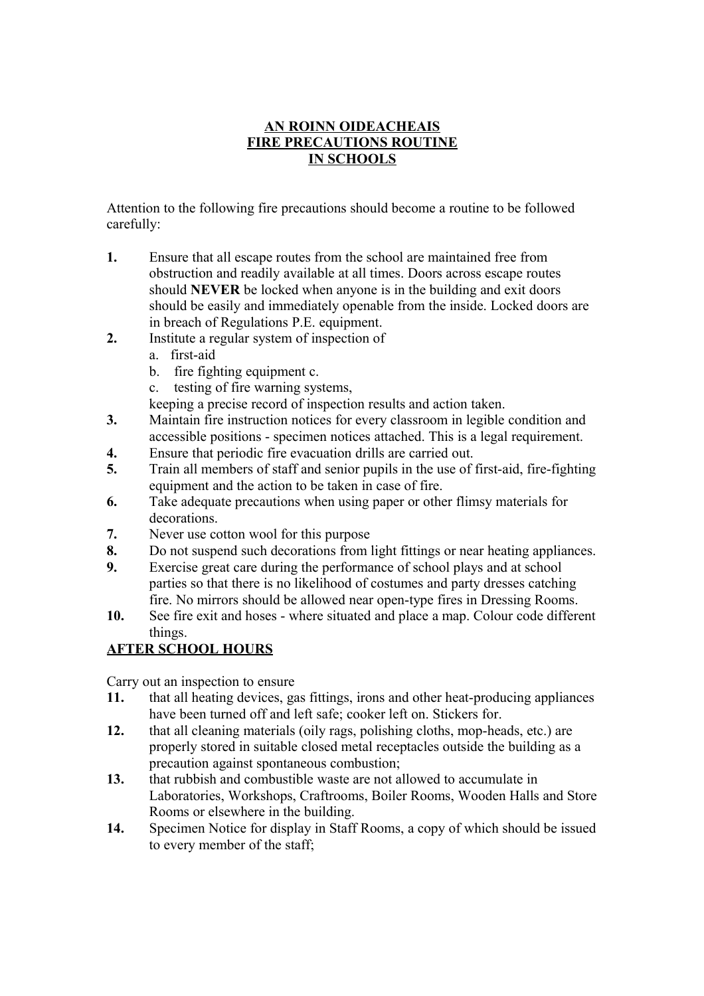## **AN ROINN OIDEACHEAIS FIRE PRECAUTIONS ROUTINE IN SCHOOLS**

Attention to the following fire precautions should become a routine to be followed carefully:

- **1.** Ensure that all escape routes from the school are maintained free from obstruction and readily available at all times. Doors across escape routes should **NEVER** be locked when anyone is in the building and exit doors should be easily and immediately openable from the inside. Locked doors are in breach of Regulations P.E. equipment.
- **2.** Institute a regular system of inspection of
	- a. first-aid
	- b. fire fighting equipment c.
	- c. testing of fire warning systems,

keeping a precise record of inspection results and action taken.

- **3.** Maintain fire instruction notices for every classroom in legible condition and accessible positions - specimen notices attached. This is a legal requirement.
- **4.** Ensure that periodic fire evacuation drills are carried out.
- **5.** Train all members of staff and senior pupils in the use of first-aid, fire-fighting equipment and the action to be taken in case of fire.
- **6.** Take adequate precautions when using paper or other flimsy materials for decorations.
- **7.** Never use cotton wool for this purpose
- **8.** Do not suspend such decorations from light fittings or near heating appliances.
- **9.** Exercise great care during the performance of school plays and at school parties so that there is no likelihood of costumes and party dresses catching fire. No mirrors should be allowed near open-type fires in Dressing Rooms.
- **10.** See fire exit and hoses where situated and place a map. Colour code different things.

# **AFTER SCHOOL HOURS**

Carry out an inspection to ensure

- **11.** that all heating devices, gas fittings, irons and other heat-producing appliances have been turned off and left safe; cooker left on. Stickers for.
- **12.** that all cleaning materials (oily rags, polishing cloths, mop-heads, etc.) are properly stored in suitable closed metal receptacles outside the building as a precaution against spontaneous combustion;
- **13.** that rubbish and combustible waste are not allowed to accumulate in Laboratories, Workshops, Craftrooms, Boiler Rooms, Wooden Halls and Store Rooms or elsewhere in the building.
- **14.** Specimen Notice for display in Staff Rooms, a copy of which should be issued to every member of the staff;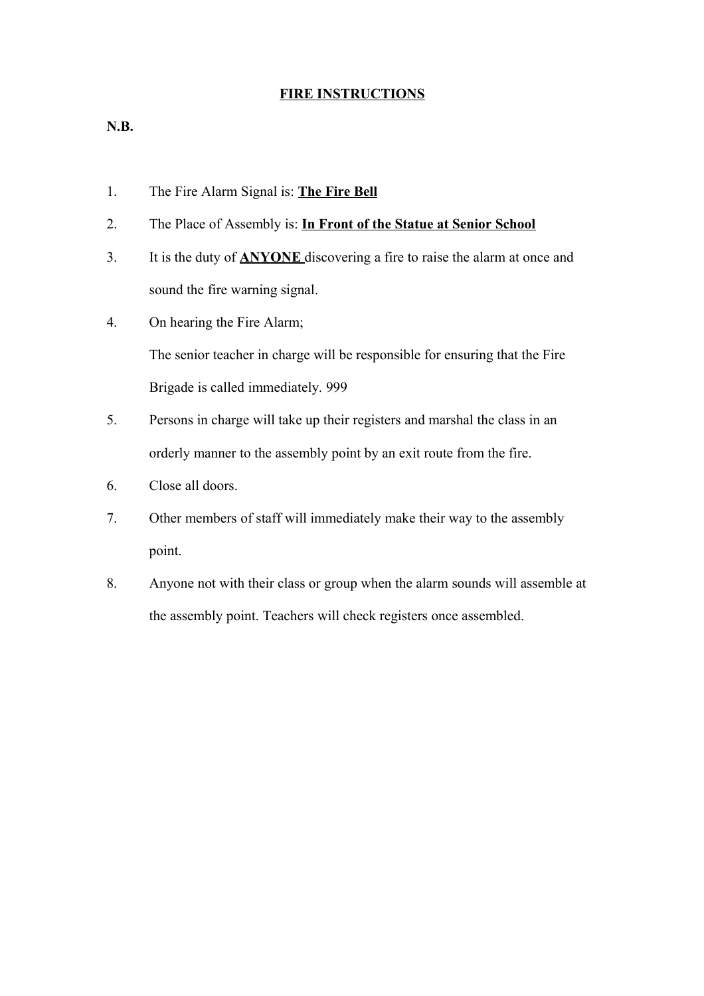### **FIRE INSTRUCTIONS**

**N.B.**

- 1. The Fire Alarm Signal is: **The Fire Bell**
- 2. The Place of Assembly is: **In Front of the Statue at Senior School**
- 3. It is the duty of **ANYONE** discovering a fire to raise the alarm at once and sound the fire warning signal.
- 4. On hearing the Fire Alarm;

The senior teacher in charge will be responsible for ensuring that the Fire Brigade is called immediately. 999

- 5. Persons in charge will take up their registers and marshal the class in an orderly manner to the assembly point by an exit route from the fire.
- 6. Close all doors.
- 7. Other members of staff will immediately make their way to the assembly point.
- 8. Anyone not with their class or group when the alarm sounds will assemble at the assembly point. Teachers will check registers once assembled.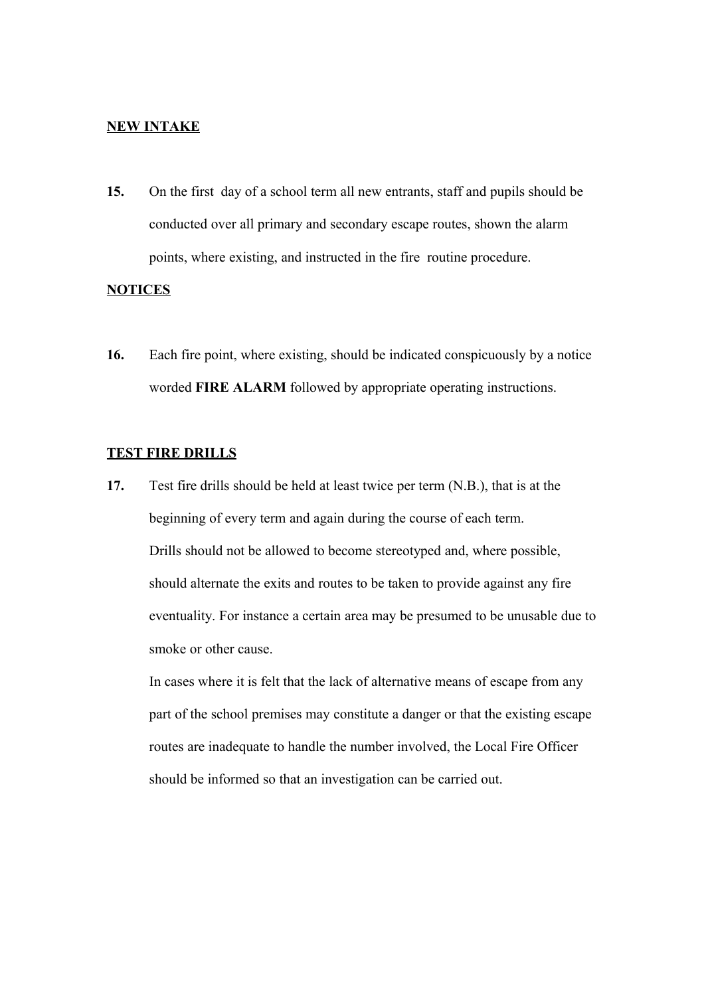#### **NEW INTAKE**

**15.** On the first day of a school term all new entrants, staff and pupils should be conducted over all primary and secondary escape routes, shown the alarm points, where existing, and instructed in the fire routine procedure.

#### **NOTICES**

**16.** Each fire point, where existing, should be indicated conspicuously by a notice worded **FIRE ALARM** followed by appropriate operating instructions.

#### **TEST FIRE DRILLS**

**17.** Test fire drills should be held at least twice per term (N.B.), that is at the beginning of every term and again during the course of each term. Drills should not be allowed to become stereotyped and, where possible, should alternate the exits and routes to be taken to provide against any fire eventuality. For instance a certain area may be presumed to be unusable due to smoke or other cause.

In cases where it is felt that the lack of alternative means of escape from any part of the school premises may constitute a danger or that the existing escape routes are inadequate to handle the number involved, the Local Fire Officer should be informed so that an investigation can be carried out.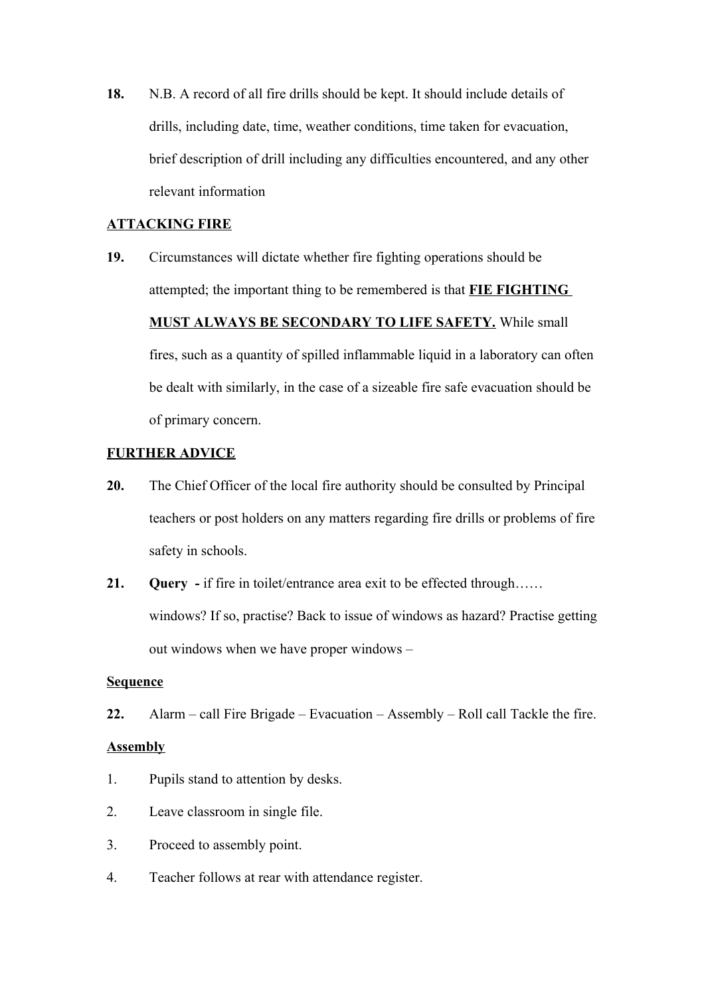**18.** N.B. A record of all fire drills should be kept. It should include details of drills, including date, time, weather conditions, time taken for evacuation, brief description of drill including any difficulties encountered, and any other relevant information

#### **ATTACKING FIRE**

**19.** Circumstances will dictate whether fire fighting operations should be attempted; the important thing to be remembered is that **FIE FIGHTING MUST ALWAYS BE SECONDARY TO LIFE SAFETY.** While small fires, such as a quantity of spilled inflammable liquid in a laboratory can often be dealt with similarly, in the case of a sizeable fire safe evacuation should be of primary concern.

### **FURTHER ADVICE**

- **20.** The Chief Officer of the local fire authority should be consulted by Principal teachers or post holders on any matters regarding fire drills or problems of fire safety in schools.
- **21. Query** if fire in toilet/entrance area exit to be effected through…… windows? If so, practise? Back to issue of windows as hazard? Practise getting out windows when we have proper windows –

#### **Sequence**

**22.** Alarm – call Fire Brigade – Evacuation – Assembly – Roll call Tackle the fire.

#### **Assembly**

- 1. Pupils stand to attention by desks.
- 2. Leave classroom in single file.
- 3. Proceed to assembly point.
- 4. Teacher follows at rear with attendance register.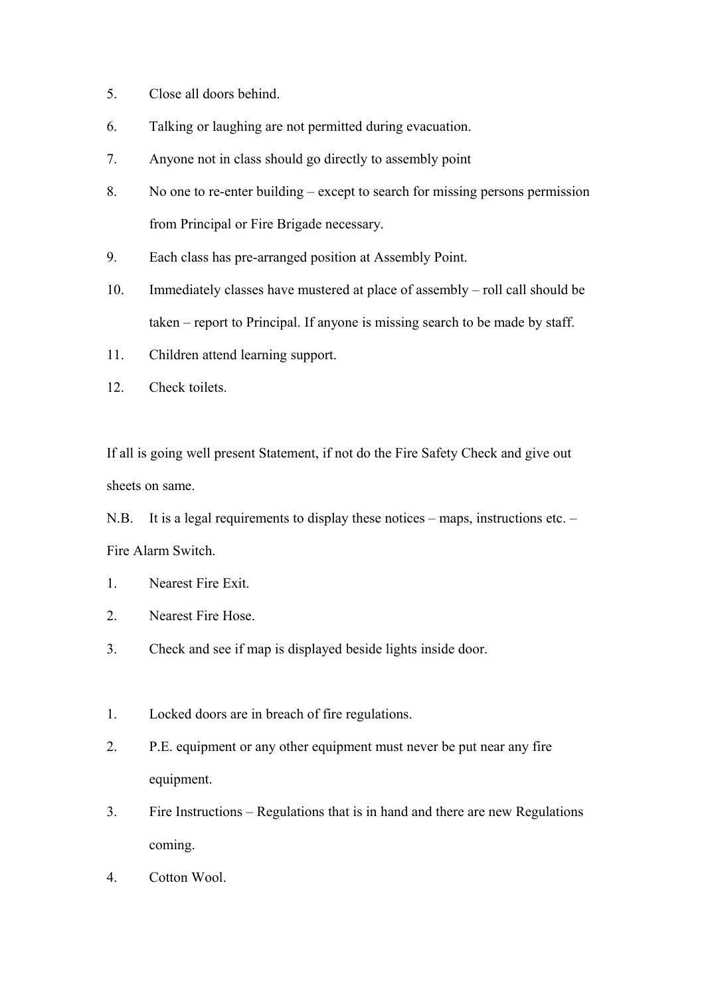- 5. Close all doors behind.
- 6. Talking or laughing are not permitted during evacuation.
- 7. Anyone not in class should go directly to assembly point
- 8. No one to re-enter building except to search for missing persons permission from Principal or Fire Brigade necessary.
- 9. Each class has pre-arranged position at Assembly Point.
- 10. Immediately classes have mustered at place of assembly roll call should be taken – report to Principal. If anyone is missing search to be made by staff.
- 11. Children attend learning support.
- 12. Check toilets.

If all is going well present Statement, if not do the Fire Safety Check and give out sheets on same.

N.B. It is a legal requirements to display these notices – maps, instructions etc. – Fire Alarm Switch.

- 1. Nearest Fire Exit.
- 2. Nearest Fire Hose.
- 3. Check and see if map is displayed beside lights inside door.
- 1. Locked doors are in breach of fire regulations.
- 2. P.E. equipment or any other equipment must never be put near any fire equipment.
- 3. Fire Instructions Regulations that is in hand and there are new Regulations coming.
- 4. Cotton Wool.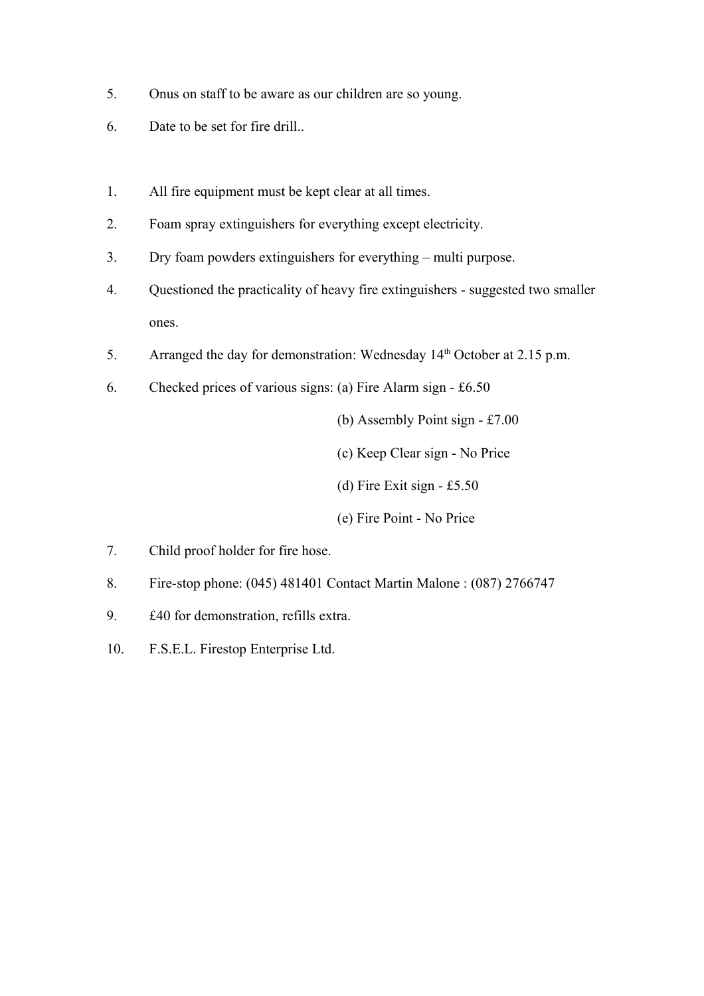- 5. Onus on staff to be aware as our children are so young.
- 6. Date to be set for fire drill..
- 1. All fire equipment must be kept clear at all times.
- 2. Foam spray extinguishers for everything except electricity.
- 3. Dry foam powders extinguishers for everything multi purpose.
- 4. Questioned the practicality of heavy fire extinguishers suggested two smaller ones.
- 5. Arranged the day for demonstration: Wednesday  $14<sup>th</sup>$  October at 2.15 p.m.
- 6. Checked prices of various signs: (a) Fire Alarm sign £6.50

(b) Assembly Point sign - £7.00

(c) Keep Clear sign - No Price

(d) Fire Exit sign - £5.50

(e) Fire Point - No Price

- 7. Child proof holder for fire hose.
- 8. Fire-stop phone: (045) 481401 Contact Martin Malone : (087) 2766747
- 9. £40 for demonstration, refills extra.
- 10. F.S.E.L. Firestop Enterprise Ltd.